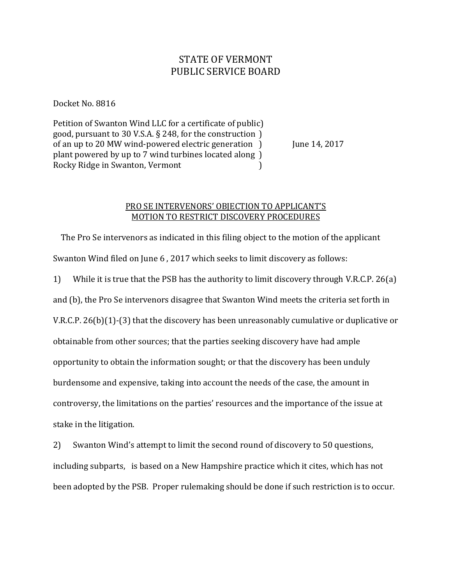## STATE OF VERMONT PUBLIC SERVICE BOARD

Docket No. 8816

Petition of Swanton Wind LLC for a certificate of public) good, pursuant to 30 V.S.A. § 248, for the construction ) of an up to 20 MW wind-powered electric generation  $\,$  June 14, 2017 plant powered by up to 7 wind turbines located along ) Rocky Ridge in Swanton, Vermont )

## PRO SE INTERVENORS' OBJECTION TO APPLICANT'S MOTION TO RESTRICT DISCOVERY PROCEDURES

 The Pro Se intervenors as indicated in this filing object to the motion of the applicant Swanton Wind filed on June 6 , 2017 which seeks to limit discovery as follows:

1) While it is true that the PSB has the authority to limit discovery through V.R.C.P. 26(a) and (b), the Pro Se intervenors disagree that Swanton Wind meets the criteria set forth in V.R.C.P. 26(b)(1)-(3) that the discovery has been unreasonably cumulative or duplicative or obtainable from other sources; that the parties seeking discovery have had ample opportunity to obtain the information sought; or that the discovery has been unduly burdensome and expensive, taking into account the needs of the case, the amount in controversy, the limitations on the parties' resources and the importance of the issue at stake in the litigation.

2) Swanton Wind's attempt to limit the second round of discovery to 50 questions, including subparts, is based on a New Hampshire practice which it cites, which has not been adopted by the PSB. Proper rulemaking should be done if such restriction is to occur.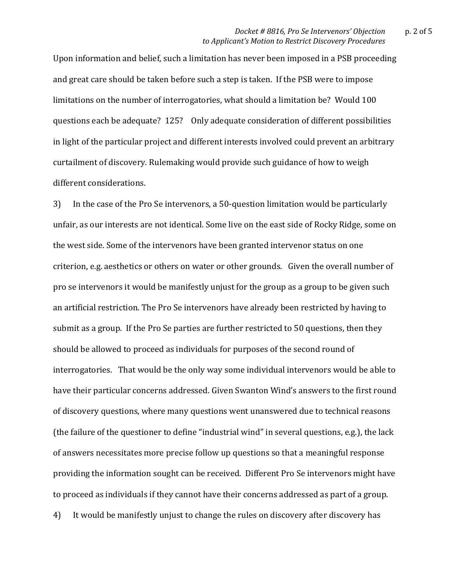Upon information and belief, such a limitation has never been imposed in a PSB proceeding and great care should be taken before such a step is taken. If the PSB were to impose limitations on the number of interrogatories, what should a limitation be? Would 100 questions each be adequate? 125? Only adequate consideration of different possibilities in light of the particular project and different interests involved could prevent an arbitrary curtailment of discovery. Rulemaking would provide such guidance of how to weigh different considerations.

3) In the case of the Pro Se intervenors, a 50-question limitation would be particularly unfair, as our interests are not identical. Some live on the east side of Rocky Ridge, some on the west side. Some of the intervenors have been granted intervenor status on one criterion, e.g. aesthetics or others on water or other grounds. Given the overall number of pro se intervenors it would be manifestly unjust for the group as a group to be given such an artificial restriction. The Pro Se intervenors have already been restricted by having to submit as a group. If the Pro Se parties are further restricted to 50 questions, then they should be allowed to proceed as individuals for purposes of the second round of interrogatories. That would be the only way some individual intervenors would be able to have their particular concerns addressed. Given Swanton Wind's answers to the first round of discovery questions, where many questions went unanswered due to technical reasons (the failure of the questioner to define "industrial wind" in several questions, e.g.), the lack of answers necessitates more precise follow up questions so that a meaningful response providing the information sought can be received. Different Pro Se intervenors might have to proceed as individuals if they cannot have their concerns addressed as part of a group. 4) It would be manifestly unjust to change the rules on discovery after discovery has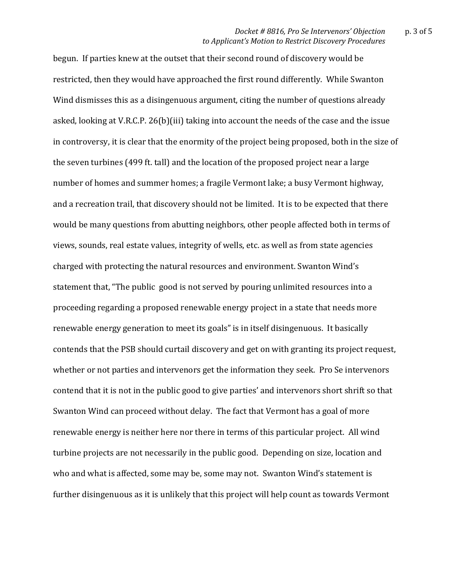begun. If parties knew at the outset that their second round of discovery would be restricted, then they would have approached the first round differently. While Swanton Wind dismisses this as a disingenuous argument, citing the number of questions already asked, looking at V.R.C.P. 26(b)(iii) taking into account the needs of the case and the issue in controversy, it is clear that the enormity of the project being proposed, both in the size of the seven turbines (499 ft. tall) and the location of the proposed project near a large number of homes and summer homes; a fragile Vermont lake; a busy Vermont highway, and a recreation trail, that discovery should not be limited. It is to be expected that there would be many questions from abutting neighbors, other people affected both in terms of views, sounds, real estate values, integrity of wells, etc. as well as from state agencies charged with protecting the natural resources and environment. Swanton Wind's statement that, "The public good is not served by pouring unlimited resources into a proceeding regarding a proposed renewable energy project in a state that needs more renewable energy generation to meet its goals" is in itself disingenuous. It basically contends that the PSB should curtail discovery and get on with granting its project request, whether or not parties and intervenors get the information they seek. Pro Se intervenors contend that it is not in the public good to give parties' and intervenors short shrift so that Swanton Wind can proceed without delay. The fact that Vermont has a goal of more renewable energy is neither here nor there in terms of this particular project. All wind turbine projects are not necessarily in the public good. Depending on size, location and who and what is affected, some may be, some may not. Swanton Wind's statement is further disingenuous as it is unlikely that this project will help count as towards Vermont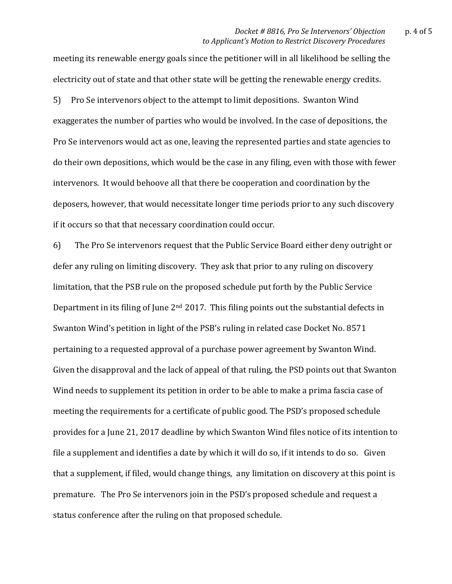meeting its renewable energy goals since the petitioner will in all likelihood be selling the electricity out of state and that other state will be getting the renewable energy credits. 5) Pro Se intervenors object to the attempt to limit depositions. Swanton Wind exaggerates the number of parties who would be involved. In the case of depositions, the Pro Se intervenors would act as one, leaving the represented parties and state agencies to do their own depositions, which would be the case in any filing, even with those with fewer intervenors. It would behoove all that there be cooperation and coordination by the deposers, however, that would necessitate longer time periods prior to any such discovery if it occurs so that that necessary coordination could occur.

6) The Pro Se intervenors request that the Public Service Board either deny outright or defer any ruling on limiting discovery. They ask that prior to any ruling on discovery limitation, that the PSB rule on the proposed schedule put forth by the Public Service Department in its filing of June 2nd 2017. This filing points out the substantial defects in Swanton Wind's petition in light of the PSB's ruling in related case Docket No. 8571 pertaining to a requested approval of a purchase power agreement by Swanton Wind. Given the disapproval and the lack of appeal of that ruling, the PSD points out that Swanton Wind needs to supplement its petition in order to be able to make a prima fascia case of meeting the requirements for a certificate of public good. The PSD's proposed schedule provides for a June 21, 2017 deadline by which Swanton Wind files notice of its intention to file a supplement and identifies a date by which it will do so, if it intends to do so. Given that a supplement, if filed, would change things, any limitation on discovery at this point is premature. The Pro Se intervenors join in the PSD's proposed schedule and request a status conference after the ruling on that proposed schedule.